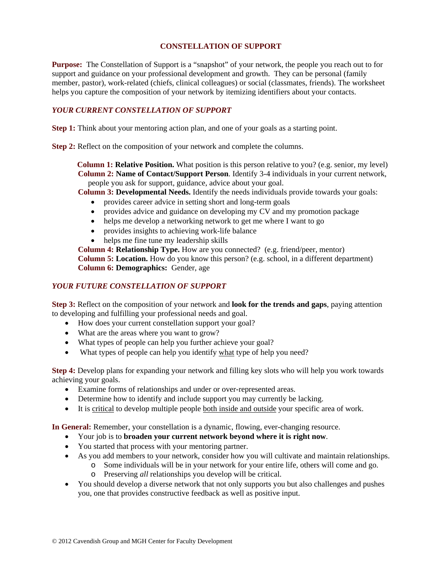## **CONSTELLATION OF SUPPORT**

**Purpose:** The Constellation of Support is a "snapshot" of your network, the people you reach out to for support and guidance on your professional development and growth. They can be personal (family member, pastor), work-related (chiefs, clinical colleagues) or social (classmates, friends). The worksheet helps you capture the composition of your network by itemizing identifiers about your contacts.

## *YOUR CURRENT CONSTELLATION OF SUPPORT*

**Step 1:** Think about your mentoring action plan, and one of your goals as a starting point.

**Step 2:** Reflect on the composition of your network and complete the columns.

**Column 1: Relative Position.** What position is this person relative to you? (e.g. senior, my level) **Column 2: Name of Contact/Support Person**. Identify 3-4 individuals in your current network, people you ask for support, guidance, advice about your goal.

**Column 3: Developmental Needs.** Identify the needs individuals provide towards your goals:

- provides career advice in setting short and long-term goals
- provides advice and guidance on developing my CV and my promotion package
- helps me develop a networking network to get me where I want to go
- provides insights to achieving work-life balance
- helps me fine tune my leadership skills

**Column 4: Relationship Type.** How are you connected? (e.g. friend/peer, mentor) **Column 5: Location.** How do you know this person? (e.g. school, in a different department) **Column 6: Demographics:** Gender, age

## *YOUR FUTURE CONSTELLATION OF SUPPORT*

**Step 3:** Reflect on the composition of your network and **look for the trends and gaps**, paying attention to developing and fulfilling your professional needs and goal.

- How does your current constellation support your goal?
- What are the areas where you want to grow?
- What types of people can help you further achieve your goal?
- What types of people can help you identify what type of help you need?

**Step 4:** Develop plans for expanding your network and filling key slots who will help you work towards achieving your goals.

- Examine forms of relationships and under or over-represented areas.
- Determine how to identify and include support you may currently be lacking.
- It is critical to develop multiple people both inside and outside your specific area of work.

**In General:** Remember, your constellation is a dynamic, flowing, ever-changing resource.

- Your job is to **broaden your current network beyond where it is right now**.
- You started that process with your mentoring partner.
- As you add members to your network, consider how you will cultivate and maintain relationships.
	- o Some individuals will be in your network for your entire life, others will come and go.
	- o Preserving *all* relationships you develop will be critical.
- You should develop a diverse network that not only supports you but also challenges and pushes you, one that provides constructive feedback as well as positive input.